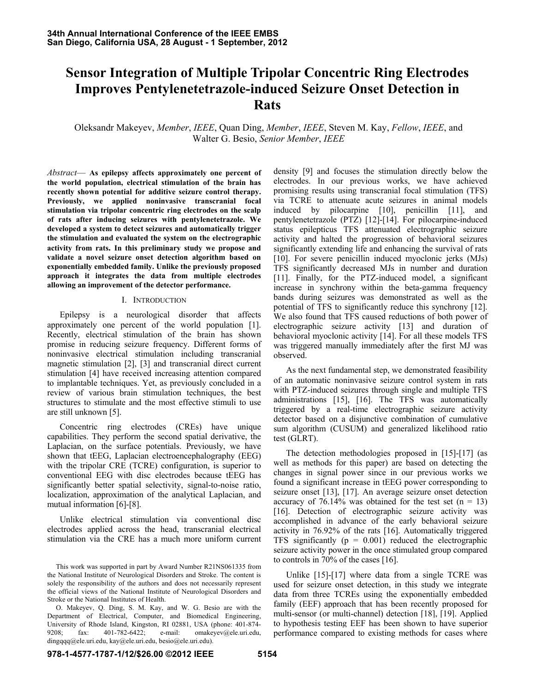# **Sensor Integration of Multiple Tripolar Concentric Ring Electrodes Improves Pentylenetetrazole-induced Seizure Onset Detection in Rats**

Oleksandr Makeyev, *Member*, *IEEE*, Quan Ding, *Member*, *IEEE*, Steven M. Kay, *Fellow*, *IEEE*, and Walter G. Besio, *Senior Member*, *IEEE*

*Abstract*— **As epilepsy affects approximately one percent of the world population, electrical stimulation of the brain has recently shown potential for additive seizure control therapy. Previously, we applied noninvasive transcranial focal stimulation via tripolar concentric ring electrodes on the scalp of rats after inducing seizures with pentylenetetrazole. We developed a system to detect seizures and automatically trigger the stimulation and evaluated the system on the electrographic activity from rats. In this preliminary study we propose and validate a novel seizure onset detection algorithm based on exponentially embedded family. Unlike the previously proposed approach it integrates the data from multiple electrodes allowing an improvement of the detector performance.**

#### I. INTRODUCTION

Epilepsy is a neurological disorder that affects approximately one percent of the world population [1]. Recently, electrical stimulation of the brain has shown promise in reducing seizure frequency. Different forms of noninvasive electrical stimulation including transcranial magnetic stimulation [2], [3] and transcranial direct current stimulation [4] have received increasing attention compared to implantable techniques. Yet, as previously concluded in a review of various brain stimulation techniques, the best structures to stimulate and the most effective stimuli to use are still unknown [5].

Concentric ring electrodes (CREs) have unique capabilities. They perform the second spatial derivative, the Laplacian, on the surface potentials. Previously, we have shown that tEEG, Laplacian electroencephalography (EEG) with the tripolar CRE (TCRE) configuration, is superior to conventional EEG with disc electrodes because tEEG has significantly better spatial selectivity, signal-to-noise ratio, localization, approximation of the analytical Laplacian, and mutual information [6]-[8].

Unlike electrical stimulation via conventional disc electrodes applied across the head, transcranial electrical stimulation via the CRE has a much more uniform current density [9] and focuses the stimulation directly below the electrodes. In our previous works, we have achieved promising results using transcranial focal stimulation (TFS) via TCRE to attenuate acute seizures in animal models induced by pilocarpine [10], penicillin [11], and pentylenetetrazole (PTZ) [12]-[14]. For pilocarpine-induced status epilepticus TFS attenuated electrographic seizure activity and halted the progression of behavioral seizures significantly extending life and enhancing the survival of rats [10]. For severe penicillin induced myoclonic jerks (MJs) TFS significantly decreased MJs in number and duration [11]. Finally, for the PTZ-induced model, a significant increase in synchrony within the beta-gamma frequency bands during seizures was demonstrated as well as the potential of TFS to significantly reduce this synchrony [12]. We also found that TFS caused reductions of both power of electrographic seizure activity [13] and duration of behavioral myoclonic activity [14]. For all these models TFS was triggered manually immediately after the first MJ was observed.

As the next fundamental step, we demonstrated feasibility of an automatic noninvasive seizure control system in rats with PTZ-induced seizures through single and multiple TFS administrations [15], [16]. The TFS was automatically triggered by a real-time electrographic seizure activity detector based on a disjunctive combination of cumulative sum algorithm (CUSUM) and generalized likelihood ratio test (GLRT).

The detection methodologies proposed in [15]-[17] (as well as methods for this paper) are based on detecting the changes in signal power since in our previous works we found a significant increase in tEEG power corresponding to seizure onset [13], [17]. An average seizure onset detection accuracy of 76.14% was obtained for the test set  $(n = 13)$ [16]. Detection of electrographic seizure activity was accomplished in advance of the early behavioral seizure activity in 76.92% of the rats [16]. Automatically triggered TFS significantly  $(p = 0.001)$  reduced the electrographic seizure activity power in the once stimulated group compared to controls in 70% of the cases [16].

Unlike [15]-[17] where data from a single TCRE was used for seizure onset detection, in this study we integrate data from three TCREs using the exponentially embedded family (EEF) approach that has been recently proposed for multi-sensor (or multi-channel) detection [18], [19]. Applied to hypothesis testing EEF has been shown to have superior performance compared to existing methods for cases where

This work was supported in part by Award Number R21NS061335 from the National Institute of Neurological Disorders and Stroke. The content is solely the responsibility of the authors and does not necessarily represent the official views of the National Institute of Neurological Disorders and Stroke or the National Institutes of Health.

O. Makeyev, Q. Ding, S. M. Kay, and W. G. Besio are with the Department of Electrical, Computer, and Biomedical Engineering, University of Rhode Island, Kingston, RI 02881, USA (phone: 401-874- 9208; fax: 401-782-6422; e-mail: omakeyev@ele.uri.edu, dingqqq@ele.uri.edu, kay@ele.uri.edu, besio@ele.uri.edu).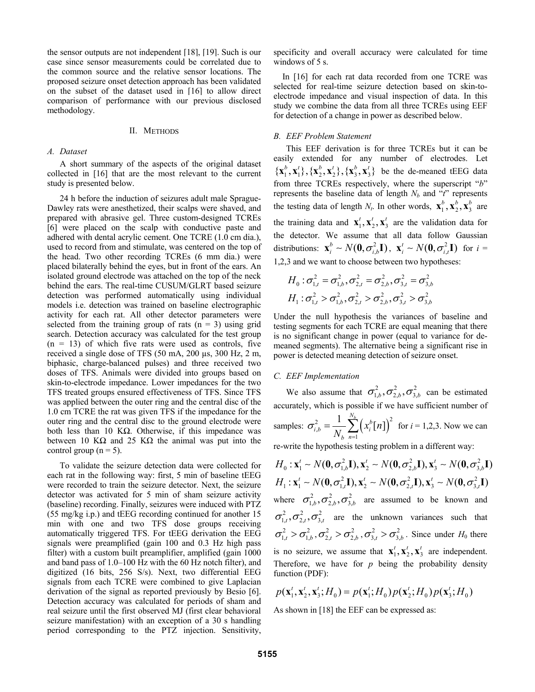the sensor outputs are not independent [18], [19]. Such is our case since sensor measurements could be correlated due to the common source and the relative sensor locations. The proposed seizure onset detection approach has been validated on the subset of the dataset used in [16] to allow direct comparison of performance with our previous disclosed methodology.

#### II. METHODS

#### *A. Dataset*

A short summary of the aspects of the original dataset collected in [16] that are the most relevant to the current study is presented below.

24 h before the induction of seizures adult male Sprague-Dawley rats were anesthetized, their scalps were shaved, and prepared with abrasive gel. Three custom-designed TCREs [6] were placed on the scalp with conductive paste and adhered with dental acrylic cement. One TCRE (1.0 cm dia.), used to record from and stimulate, was centered on the top of the head. Two other recording TCREs (6 mm dia.) were placed bilaterally behind the eyes, but in front of the ears. An isolated ground electrode was attached on the top of the neck behind the ears. The real-time CUSUM/GLRT based seizure detection was performed automatically using individual models i.e. detection was trained on baseline electrographic activity for each rat. All other detector parameters were selected from the training group of rats  $(n = 3)$  using grid search. Detection accuracy was calculated for the test group  $(n = 13)$  of which five rats were used as controls, five received a single dose of TFS (50 mA, 200 µs, 300 Hz, 2 m, biphasic, charge-balanced pulses) and three received two doses of TFS. Animals were divided into groups based on skin-to-electrode impedance. Lower impedances for the two TFS treated groups ensured effectiveness of TFS. Since TFS was applied between the outer ring and the central disc of the 1.0 cm TCRE the rat was given TFS if the impedance for the outer ring and the central disc to the ground electrode were both less than 10 KΩ. Otherwise, if this impedance was between 10 K $\Omega$  and 25 K $\Omega$  the animal was put into the control group ( $n = 5$ ).

To validate the seizure detection data were collected for each rat in the following way: first, 5 min of baseline tEEG were recorded to train the seizure detector. Next, the seizure detector was activated for 5 min of sham seizure activity (baseline) recording. Finally, seizures were induced with PTZ (55 mg/kg i.p.) and tEEG recording continued for another 15 min with one and two TFS dose groups receiving automatically triggered TFS. For tEEG derivation the EEG signals were preamplified (gain 100 and 0.3 Hz high pass filter) with a custom built preamplifier, amplified (gain 1000 and band pass of 1.0–100 Hz with the 60 Hz notch filter), and digitized (16 bits, 256 S/s). Next, two differential EEG signals from each TCRE were combined to give Laplacian derivation of the signal as reported previously by Besio [6]. Detection accuracy was calculated for periods of sham and real seizure until the first observed MJ (first clear behavioral seizure manifestation) with an exception of a 30 s handling period corresponding to the PTZ injection. Sensitivity,

specificity and overall accuracy were calculated for time windows of 5 s.

In [16] for each rat data recorded from one TCRE was selected for real-time seizure detection based on skin-toelectrode impedance and visual inspection of data. In this study we combine the data from all three TCREs using EEF for detection of a change in power as described below.

## *B. EEF Problem Statement*

This EEF derivation is for three TCREs but it can be easily extended for any number of electrodes. Let  $\{x_1^b, x_1^t\}, \{x_2^b, x_2^t\}, \{x_3^b, x_3^t\}$  be the de-meaned tEEG data from three TCREs respectively, where the superscript "*b*" represents the baseline data of length  $N_b$  and " $t$ " represents the testing data of length  $N_t$ . In other words,  $\mathbf{x}_1^b$ ,  $\mathbf{x}_2^b$ ,  $\mathbf{x}_3^b$  are the training data and  $\mathbf{x}_1^t, \mathbf{x}_2^t, \mathbf{x}_3^t$  are the validation data for the detector. We assume that all data follow Gaussian distributions:  $\mathbf{x}_i^b \sim N(\mathbf{0}, \sigma_{i,b}^2 \mathbf{I})$ ,  $\mathbf{x}_i^t \sim N(\mathbf{0}, \sigma_{i,t}^2 \mathbf{I})$  for  $i =$ 1,2,3 and we want to choose between two hypotheses:

$$
H_0: \sigma_{1,t}^2 = \sigma_{1,b}^2, \sigma_{2,t}^2 = \sigma_{2,b}^2, \sigma_{3,t}^2 = \sigma_{3,b}^2
$$
  

$$
H_1: \sigma_{1,t}^2 > \sigma_{1,b}^2, \sigma_{2,t}^2 > \sigma_{2,b}^2, \sigma_{3,t}^2 > \sigma_{3,b}^2
$$

Under the null hypothesis the variances of baseline and testing segments for each TCRE are equal meaning that there is no significant change in power (equal to variance for demeaned segments). The alternative being a significant rise in power is detected meaning detection of seizure onset.

#### *C. EEF Implementation*

We also assume that  $\sigma_{1,b}^2, \sigma_{2,b}^2, \sigma_{3,b}^2$  can be estimated accurately, which is possible if we have sufficient number of

samples: 
$$
\sigma_{i,b}^2 = \frac{1}{N_b} \sum_{n=1}^{N_b} (x_i^b[n])^2
$$
 for  $i = 1, 2, 3$ . Now we can

re-write the hypothesis testing problem in a different way:

$$
H_0: \mathbf{x}_1^t \sim N(\mathbf{0}, \sigma_{1,b}^2 \mathbf{I}), \mathbf{x}_2^t \sim N(\mathbf{0}, \sigma_{2,b}^2 \mathbf{I}), \mathbf{x}_3^t \sim N(\mathbf{0}, \sigma_{3,b}^2 \mathbf{I})
$$
  
\n
$$
H_1: \mathbf{x}_1^t \sim N(\mathbf{0}, \sigma_{1,t}^2 \mathbf{I}), \mathbf{x}_2^t \sim N(\mathbf{0}, \sigma_{2,t}^2 \mathbf{I}), \mathbf{x}_3^t \sim N(\mathbf{0}, \sigma_{3,t}^2 \mathbf{I})
$$
  
\nwhere  $\sigma_{1,b}^2, \sigma_{2,b}^2, \sigma_{3,b}^2$  are assumed to be known and  $\sigma_{1,t}^2, \sigma_{2,t}^2, \sigma_{3,t}^2$  are the unknown variances such that  $\sigma_{1,t}^2 > \sigma_{1,b}^2, \sigma_{2,t}^2 > \sigma_{2,b}^2, \sigma_{3,t}^2 > \sigma_{3,b}^2$ . Since under  $H_0$  there is no seizure, we assume that  $\mathbf{x}_1^t, \mathbf{x}_2^t, \mathbf{x}_3^t$  are independent.  
\nTherefore, we have for *p* being the probability density function (PDF):

$$
p(\mathbf{x}_1^t, \mathbf{x}_2^t, \mathbf{x}_3^t; H_0) = p(\mathbf{x}_1^t; H_0) p(\mathbf{x}_2^t; H_0) p(\mathbf{x}_3^t; H_0)
$$

As shown in [18] the EEF can be expressed as: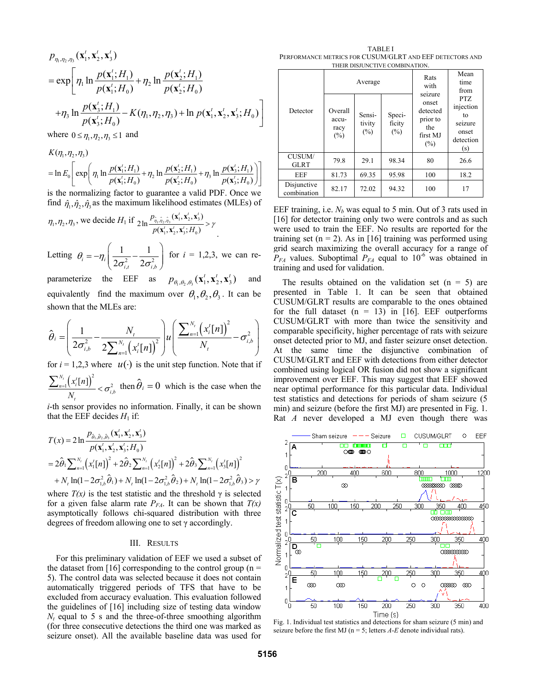$$
p_{\eta_1, \eta_2, \eta_3}(\mathbf{x}_1^t, \mathbf{x}_2^t, \mathbf{x}_3^t)
$$
  
=  $\exp \left[ \eta_1 \ln \frac{p(\mathbf{x}_1^t; H_1)}{p(\mathbf{x}_1^t; H_0)} + \eta_2 \ln \frac{p(\mathbf{x}_2^t; H_1)}{p(\mathbf{x}_2^t; H_0)} + \eta_3 \ln \frac{p(\mathbf{x}_3^t; H_1)}{p(\mathbf{x}_3^t; H_0)} - K(\eta_1, \eta_2, \eta_3) + \ln p(\mathbf{x}_1^t, \mathbf{x}_2^t, \mathbf{x}_3^t; H_0) \right]$ 

where  $0 \le \eta_1, \eta_2, \eta_3 \le 1$  and

$$
K(\eta_1, \eta_2, \eta_3)
$$
  
=  $\ln E_0 \left[ \exp \left( \eta_1 \ln \frac{p(\mathbf{x}_1'; H_1)}{p(\mathbf{x}_1'; H_0)} + \eta_2 \ln \frac{p(\mathbf{x}_2'; H_1)}{p(\mathbf{x}_2'; H_0)} + \eta_3 \ln \frac{p(\mathbf{x}_3'; H_1)}{p(\mathbf{x}_3'; H_0)} \right) \right]$ 

is the normalizing factor to guarantee a valid PDF. Once we find  $\hat{\eta}_1, \hat{\eta}_2, \hat{\eta}_3$  as the maximum likelihood estimates (MLEs) of

$$
\eta_1, \eta_2, \eta_3
$$
, we decide  $H_1$  if  $2 \ln \frac{p_{\hat{\eta}_1, \hat{\eta}_2, \hat{\eta}_3}(\mathbf{x}_1^t, \mathbf{x}_2^t, \mathbf{x}_3^t)}{p(\mathbf{x}_1^t, \mathbf{x}_2^t, \mathbf{x}_3^t; H_0)} > \gamma$ .

Letting  $\theta_i = -\eta_i \left( \frac{1}{2 \sigma_{i,t}^2} - \frac{1}{2 \sigma_{i,t}^2} \right)$ 1 1  $\mu_i = H_i \left( 2 \sigma_{i,t}^2 - 2 \sigma_{i,b}^2 \right)$  $\theta_i = -\eta_i \left( \frac{1}{2\sigma_{ii}^2} - \frac{1}{2\sigma_{ii}^2} \right)$  $\left( \sqrt{2\sigma_{i,t}} \quad 2\sigma_{i,b} \right)$ for  $i = 1,2,3$ , we can re-

parameterize the EEF as  $p_{\theta,\theta,\theta}(\mathbf{x}_1^t, \mathbf{x}_2^t, \mathbf{x}_3^t)$  and equivalently find the maximum over  $\theta_1, \theta_2, \theta_3$ . It can be shown that the MLEs are:

$$
\hat{\theta}_{i} = \left(\frac{1}{2\sigma_{i,b}^{2}} - \frac{N_{t}}{2\sum_{n=1}^{N_{t}}(x_{i}^{t}[n])^{2}}\right)u\left(\frac{\sum_{n=1}^{N_{t}}(x_{i}^{t}[n])^{2}}{N_{t}} - \sigma_{i,b}^{2}\right)
$$

for  $i = 1,2,3$  where  $u(·)$  is the unit step function. Note that if  $\frac{1}{N} \left( x_i^t[n] \right)^2 < \sigma_i^2$ *x n*

 $\frac{\frac{N_t}{n-1} (x_i^t[n])^2}{N_t} < \sigma_{i,b}^2$  $\frac{\sum_{n=1}^{N_t} (x_i'[n])^2}{N_t} < \sigma_{i,b}^2$  then  $\hat{\theta}_i = 0$  which is the case when the

*i*-th sensor provides no information. Finally, it can be shown that the EEF decides  $H_1$  if:

$$
T(x) = 2 \ln \frac{p_{\hat{\theta}_1, \hat{\theta}_2, \hat{\theta}_3}(\mathbf{x}_1', \mathbf{x}_2', \mathbf{x}_3')}{p(\mathbf{x}_1', \mathbf{x}_2', \mathbf{x}_3'; H_0)}
$$
  
=  $2 \hat{\theta}_1 \sum_{n=1}^{N_t} (x_1'[n])^2 + 2 \hat{\theta}_2 \sum_{n=1}^{N_t} (x_2'[n])^2 + 2 \hat{\theta}_3 \sum_{n=1}^{N_t} (x_3'[n])^2$   
+  $N_t \ln(1 - 2\sigma_{1,b}^2 \hat{\theta}_1) + N_t \ln(1 - 2\sigma_{1,b}^2 \hat{\theta}_2) + N_t \ln(1 - 2\sigma_{1,b}^2 \hat{\theta}_3) > \gamma$ 

where  $T(x)$  is the test statistic and the threshold  $\gamma$  is selected for a given false alarm rate  $P_{FA}$ . It can be shown that  $T(x)$ asymptotically follows chi-squared distribution with three degrees of freedom allowing one to set γ accordingly.

## III. RESULTS

For this preliminary validation of EEF we used a subset of the dataset from [16] corresponding to the control group ( $n =$ 5). The control data was selected because it does not contain automatically triggered periods of TFS that have to be excluded from accuracy evaluation. This evaluation followed the guidelines of [16] including size of testing data window  $N_t$  equal to 5 s and the three-of-three smoothing algorithm (for three consecutive detections the third one was marked as seizure onset). All the available baseline data was used for

TABLE I PERFORMANCE METRICS FOR CUSUM/GLRT AND EEF DETECTORS AND THEIR DISJUNCTIVE COMBINATION.

| Detector                     | Average                             |                            |                            | Rats<br>with<br>seizure                                    | Mean<br>time<br>from                                           |
|------------------------------|-------------------------------------|----------------------------|----------------------------|------------------------------------------------------------|----------------------------------------------------------------|
|                              | Overall<br>accu-<br>racy<br>$(\% )$ | Sensi-<br>tivity<br>$(\%)$ | Speci-<br>ficity<br>$(\%)$ | onset<br>detected<br>prior to<br>the<br>first MJ<br>$(\%)$ | PTZ<br>injection<br>to<br>seizure<br>onset<br>detection<br>(s) |
| <b>CUSUM/</b><br><b>GLRT</b> | 79.8                                | 29.1                       | 98.34                      | 80                                                         | 26.6                                                           |
| <b>EEF</b>                   | 81.73                               | 69.35                      | 95.98                      | 100                                                        | 18.2                                                           |
| Disjunctive<br>combination   | 82.17                               | 72.02                      | 94.32                      | 100                                                        | 17                                                             |

EEF training, i.e.  $N_b$  was equal to 5 min. Out of 3 rats used in [16] for detector training only two were controls and as such were used to train the EEF. No results are reported for the training set  $(n = 2)$ . As in [16] training was performed using grid search maximizing the overall accuracy for a range of  $P_{FA}$  values. Suboptimal  $P_{FA}$  equal to 10<sup>-6</sup> was obtained in training and used for validation.

The results obtained on the validation set  $(n = 5)$  are presented in Table 1. It can be seen that obtained CUSUM/GLRT results are comparable to the ones obtained for the full dataset  $(n = 13)$  in [16]. EEF outperforms CUSUM/GLRT with more than twice the sensitivity and comparable specificity, higher percentage of rats with seizure onset detected prior to MJ, and faster seizure onset detection. At the same time the disjunctive combination of CUSUM/GLRT and EEF with detections from either detector combined using logical OR fusion did not show a significant improvement over EEF. This may suggest that EEF showed near optimal performance for this particular data. Individual test statistics and detections for periods of sham seizure (5 min) and seizure (before the first MJ) are presented in Fig. 1. Rat *A* never developed a MJ even though there was



seizure before the first MJ ( $n = 5$ ; letters  $A$ - $E$  denote individual rats).